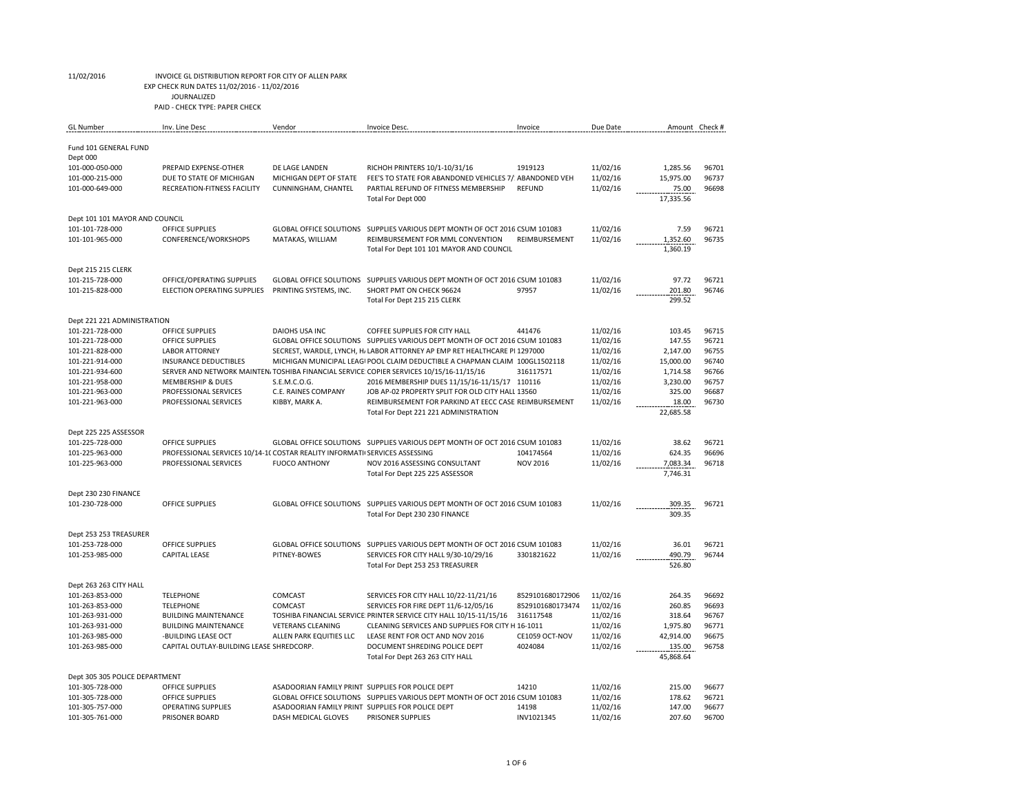EXP CHECK RUN DATES 11/02/2016 - 11/02/2016

JOURNALIZED

| <b>GL</b> Number                                  | Inv. Line Desc                                                             | Vendor                                           | Invoice Desc.                                                                                                                                             | Invoice          | Due Date             | Amount Check #        |                |
|---------------------------------------------------|----------------------------------------------------------------------------|--------------------------------------------------|-----------------------------------------------------------------------------------------------------------------------------------------------------------|------------------|----------------------|-----------------------|----------------|
| Fund 101 GENERAL FUND<br>Dept 000                 |                                                                            |                                                  |                                                                                                                                                           |                  |                      |                       |                |
| 101-000-050-000                                   | PREPAID EXPENSE-OTHER                                                      | DE LAGE LANDEN                                   | RICHOH PRINTERS 10/1-10/31/16                                                                                                                             | 1919123          | 11/02/16             | 1,285.56              | 96701          |
| 101-000-215-000                                   | DUE TO STATE OF MICHIGAN                                                   | MICHIGAN DEPT OF STATE                           | FEE'S TO STATE FOR ABANDONED VEHICLES 7/: ABANDONED VEH                                                                                                   |                  | 11/02/16             | 15,975.00             | 96737          |
| 101-000-649-000                                   | RECREATION-FITNESS FACILITY                                                | CUNNINGHAM, CHANTEL                              | PARTIAL REFUND OF FITNESS MEMBERSHIP                                                                                                                      | <b>REFUND</b>    | 11/02/16             | 75.00                 | 96698          |
|                                                   |                                                                            |                                                  | Total For Dept 000                                                                                                                                        |                  |                      | 17,335.56             |                |
| Dept 101 101 MAYOR AND COUNCIL                    |                                                                            |                                                  |                                                                                                                                                           |                  |                      |                       |                |
| 101-101-728-000                                   | <b>OFFICE SUPPLIES</b>                                                     |                                                  | GLOBAL OFFICE SOLUTIONS SUPPLIES VARIOUS DEPT MONTH OF OCT 2016 CSUM 101083                                                                               |                  | 11/02/16             | 7.59                  | 96721          |
| 101-101-965-000                                   | CONFERENCE/WORKSHOPS                                                       | MATAKAS, WILLIAM                                 | REIMBURSEMENT FOR MML CONVENTION                                                                                                                          | REIMBURSEMENT    | 11/02/16             | 1,352.60              | 96735          |
|                                                   |                                                                            |                                                  | Total For Dept 101 101 MAYOR AND COUNCIL                                                                                                                  |                  |                      | 1,360.19              |                |
| Dept 215 215 CLERK                                |                                                                            |                                                  |                                                                                                                                                           |                  |                      |                       |                |
| 101-215-728-000                                   | OFFICE/OPERATING SUPPLIES                                                  | <b>GLOBAL OFFICE SOLUTIONS</b>                   | SUPPLIES VARIOUS DEPT MONTH OF OCT 2016 CSUM 101083                                                                                                       |                  | 11/02/16             | 97.72                 | 96721          |
| 101-215-828-000                                   | ELECTION OPERATING SUPPLIES                                                | PRINTING SYSTEMS, INC.                           | SHORT PMT ON CHECK 96624                                                                                                                                  | 97957            | 11/02/16             | 201.80                | 96746          |
|                                                   |                                                                            |                                                  | Total For Dept 215 215 CLERK                                                                                                                              |                  |                      | 299.52                |                |
| Dept 221 221 ADMINISTRATION                       |                                                                            |                                                  |                                                                                                                                                           |                  |                      |                       |                |
| 101-221-728-000                                   | OFFICE SUPPLIES                                                            | <b>DAIOHS USA INC</b>                            | COFFEE SUPPLIES FOR CITY HALL                                                                                                                             | 441476           | 11/02/16             | 103.45                | 96715          |
| 101-221-728-000                                   | <b>OFFICE SUPPLIES</b>                                                     |                                                  | GLOBAL OFFICE SOLUTIONS SUPPLIES VARIOUS DEPT MONTH OF OCT 2016 CSUM 101083                                                                               |                  | 11/02/16             | 147.55                | 96721          |
| 101-221-828-000<br>101-221-914-000                | <b>LABOR ATTORNEY</b><br><b>INSURANCE DEDUCTIBLES</b>                      |                                                  | SECREST, WARDLE, LYNCH, H. LABOR ATTORNEY AP EMP RET HEALTHCARE PI 1297000<br>MICHIGAN MUNICIPAL LEAGI POOL CLAIM DEDUCTIBLE A CHAPMAN CLAIM 100GL1502118 |                  | 11/02/16             | 2,147.00              | 96755<br>96740 |
| 101-221-934-600                                   |                                                                            |                                                  | SERVER AND NETWORK MAINTEN, TOSHIBA FINANCIAL SERVICE: COPIER SERVICES 10/15/16-11/15/16                                                                  | 316117571        | 11/02/16<br>11/02/16 | 15,000.00<br>1,714.58 | 96766          |
| 101-221-958-000                                   | <b>MEMBERSHIP &amp; DUES</b>                                               | S.E.M.C.O.G.                                     | 2016 MEMBERSHIP DUES 11/15/16-11/15/17 110116                                                                                                             |                  | 11/02/16             | 3,230.00              | 96757          |
| 101-221-963-000                                   | PROFESSIONAL SERVICES                                                      | C.E. RAINES COMPANY                              | JOB AP-02 PROPERTY SPLIT FOR OLD CITY HALL 13560                                                                                                          |                  | 11/02/16             | 325.00                | 96687          |
| 101-221-963-000                                   | PROFESSIONAL SERVICES                                                      | KIBBY, MARK A.                                   | REIMBURSEMENT FOR PARKIND AT EECC CASE REIMBURSEMENT                                                                                                      |                  | 11/02/16             | 18.00                 | 96730          |
|                                                   |                                                                            |                                                  | Total For Dept 221 221 ADMINISTRATION                                                                                                                     |                  |                      | 22,685.58             |                |
| Dept 225 225 ASSESSOR                             |                                                                            |                                                  |                                                                                                                                                           |                  |                      |                       |                |
| 101-225-728-000                                   | <b>OFFICE SUPPLIES</b>                                                     |                                                  | GLOBAL OFFICE SOLUTIONS SUPPLIES VARIOUS DEPT MONTH OF OCT 2016 CSUM 101083                                                                               |                  | 11/02/16             | 38.62                 | 96721          |
| 101-225-963-000                                   | PROFESSIONAL SERVICES 10/14-1( COSTAR REALITY INFORMATI SERVICES ASSESSING |                                                  |                                                                                                                                                           | 104174564        | 11/02/16             | 624.35                | 96696          |
| 101-225-963-000                                   | PROFESSIONAL SERVICES                                                      | <b>FUOCO ANTHONY</b>                             | NOV 2016 ASSESSING CONSULTANT                                                                                                                             | <b>NOV 2016</b>  | 11/02/16             | 7,083.34              | 96718          |
|                                                   |                                                                            |                                                  | Total For Dept 225 225 ASSESSOR                                                                                                                           |                  |                      | 7,746.31              |                |
| Dept 230 230 FINANCE                              |                                                                            |                                                  |                                                                                                                                                           |                  |                      |                       |                |
| 101-230-728-000                                   | <b>OFFICE SUPPLIES</b>                                                     |                                                  | GLOBAL OFFICE SOLUTIONS SUPPLIES VARIOUS DEPT MONTH OF OCT 2016 CSUM 101083                                                                               |                  | 11/02/16             | 309.35                | 96721          |
|                                                   |                                                                            |                                                  | Total For Dept 230 230 FINANCE                                                                                                                            |                  |                      | 309.35                |                |
| Dept 253 253 TREASURER                            |                                                                            |                                                  |                                                                                                                                                           |                  |                      |                       |                |
| 101-253-728-000                                   | OFFICE SUPPLIES                                                            |                                                  | GLOBAL OFFICE SOLUTIONS SUPPLIES VARIOUS DEPT MONTH OF OCT 2016 CSUM 101083                                                                               |                  | 11/02/16             | 36.01                 | 96721          |
| 101-253-985-000                                   | <b>CAPITAL LEASE</b>                                                       | PITNEY-BOWES                                     | SERVICES FOR CITY HALL 9/30-10/29/16                                                                                                                      | 3301821622       | 11/02/16             | 490.79<br>526.80      | 96744          |
|                                                   |                                                                            |                                                  | Total For Dept 253 253 TREASURER                                                                                                                          |                  |                      |                       |                |
| Dept 263 263 CITY HALL                            |                                                                            |                                                  |                                                                                                                                                           |                  |                      |                       |                |
| 101-263-853-000                                   | <b>TELEPHONE</b>                                                           | COMCAST                                          | SERVICES FOR CITY HALL 10/22-11/21/16                                                                                                                     | 8529101680172906 | 11/02/16             | 264.35                | 96692          |
| 101-263-853-000                                   | <b>TELEPHONE</b>                                                           | COMCAST                                          | SERVICES FOR FIRE DEPT 11/6-12/05/16                                                                                                                      | 8529101680173474 | 11/02/16             | 260.85                | 96693          |
| 101-263-931-000                                   | <b>BUILDING MAINTENANCE</b>                                                |                                                  | TOSHIBA FINANCIAL SERVICE PRINTER SERVICE CITY HALL 10/15-11/15/16                                                                                        | 316117548        | 11/02/16             | 318.64                | 96767          |
| 101-263-931-000                                   | <b>BUILDING MAINTENANCE</b>                                                | <b>VETERANS CLEANING</b>                         | CLEANING SERVICES AND SUPPLIES FOR CITY H 16-1011                                                                                                         |                  | 11/02/16             | 1,975.80              | 96771          |
| 101-263-985-000                                   | -BUILDING LEASE OCT                                                        | ALLEN PARK EQUITIES LLC                          | LEASE RENT FOR OCT AND NOV 2016                                                                                                                           | CE1059 OCT-NOV   | 11/02/16             | 42,914.00             | 96675          |
| 101-263-985-000                                   | CAPITAL OUTLAY-BUILDING LEASE SHREDCORP.                                   |                                                  | DOCUMENT SHREDING POLICE DEPT<br>Total For Dept 263 263 CITY HALL                                                                                         | 4024084          | 11/02/16             | 135.00<br>45,868.64   | 96758          |
|                                                   |                                                                            |                                                  |                                                                                                                                                           |                  |                      |                       |                |
| Dept 305 305 POLICE DEPARTMENT<br>101-305-728-000 |                                                                            |                                                  | ASADOORIAN FAMILY PRINT SUPPLIES FOR POLICE DEPT                                                                                                          | 14210            | 11/02/16             | 215.00                | 96677          |
| 101-305-728-000                                   |                                                                            |                                                  |                                                                                                                                                           |                  |                      |                       |                |
|                                                   | <b>OFFICE SUPPLIES</b>                                                     |                                                  |                                                                                                                                                           |                  |                      |                       |                |
| 101-305-757-000                                   | <b>OFFICE SUPPLIES</b><br><b>OPERATING SUPPLIES</b>                        | ASADOORIAN FAMILY PRINT SUPPLIES FOR POLICE DEPT | GLOBAL OFFICE SOLUTIONS SUPPLIES VARIOUS DEPT MONTH OF OCT 2016 CSUM 101083                                                                               | 14198            | 11/02/16<br>11/02/16 | 178.62<br>147.00      | 96721<br>96677 |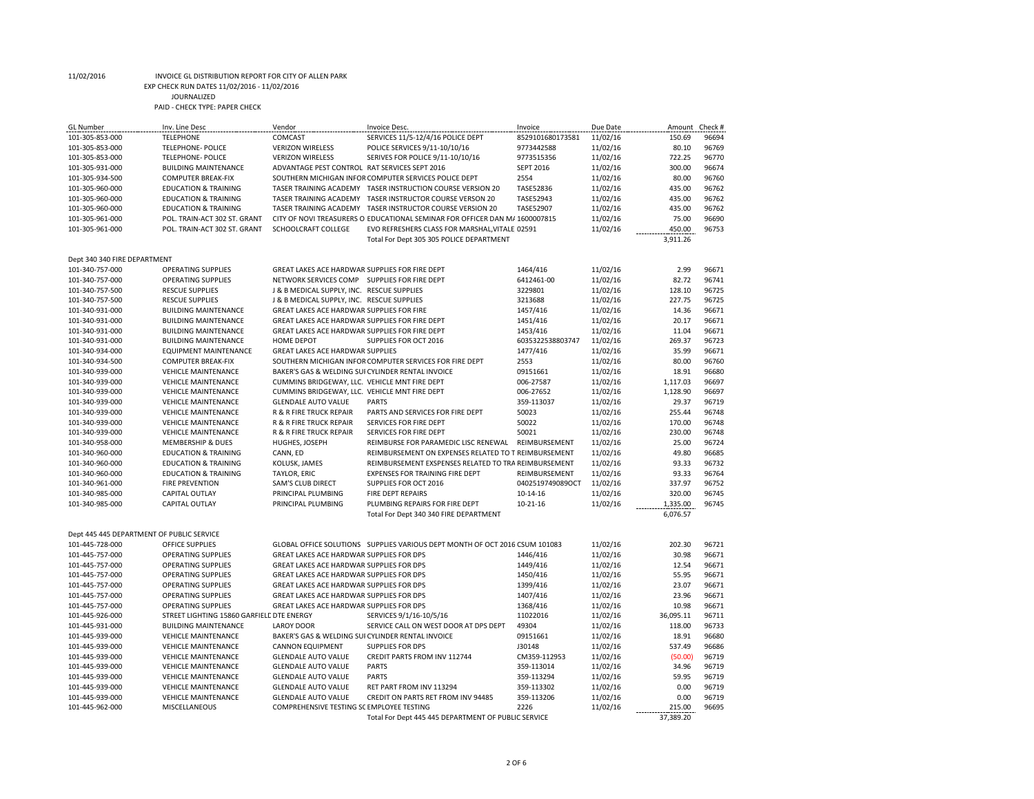# EXP CHECK RUN DATES 11/02/2016 - 11/02/2016

JOURNALIZED

| <b>GL</b> Number                          | Inv. Line Desc                            | Vendor                                            | <b>Invoice Desc</b>                                                         | Invoice          | Due Date | Amount Check # |       |
|-------------------------------------------|-------------------------------------------|---------------------------------------------------|-----------------------------------------------------------------------------|------------------|----------|----------------|-------|
| 101-305-853-000                           | <b>TELEPHONE</b>                          | COMCAST                                           | SERVICES 11/5-12/4/16 POLICE DEPT                                           | 8529101680173581 | 11/02/16 | 150.69         | 96694 |
| 101-305-853-000                           | <b>TELEPHONE- POLICE</b>                  | <b>VERIZON WIRELESS</b>                           | POLICE SERVICES 9/11-10/10/16                                               | 9773442588       | 11/02/16 | 80.10          | 96769 |
| 101-305-853-000                           | <b>TELEPHONE- POLICE</b>                  | <b>VERIZON WIRELESS</b>                           | SERIVES FOR POLICE 9/11-10/10/16                                            | 9773515356       | 11/02/16 | 722.25         | 96770 |
| 101-305-931-000                           | <b>BUILDING MAINTENANCE</b>               | ADVANTAGE PEST CONTROL RAT SERVICES SEPT 2016     |                                                                             | <b>SEPT 2016</b> | 11/02/16 | 300.00         | 96674 |
| 101-305-934-500                           | <b>COMPUTER BREAK-FIX</b>                 |                                                   | SOUTHERN MICHIGAN INFOR COMPUTER SERVICES POLICE DEPT                       | 2554             | 11/02/16 | 80.00          | 96760 |
| 101-305-960-000                           | <b>EDUCATION &amp; TRAINING</b>           |                                                   | TASER TRAINING ACADEMY TASER INSTRUCTION COURSE VERSION 20                  | TASE52836        | 11/02/16 | 435.00         | 96762 |
| 101-305-960-000                           | <b>EDUCATION &amp; TRAINING</b>           | TASER TRAINING ACADEMY                            | TASER INSTRUCTOR COURSE VERSON 20                                           | TASE52943        | 11/02/16 | 435.00         | 96762 |
| 101-305-960-000                           | <b>EDUCATION &amp; TRAINING</b>           |                                                   | TASER TRAINING ACADEMY TASER INSTRUCTOR COURSE VERSION 20                   | <b>TASE52907</b> | 11/02/16 | 435.00         | 96762 |
| 101-305-961-000                           | POL. TRAIN-ACT 302 ST. GRANT              |                                                   | CITY OF NOVI TREASURERS O EDUCATIONAL SEMINAR FOR OFFICER DAN M/ 1600007815 |                  | 11/02/16 | 75.00          | 96690 |
| 101-305-961-000                           | POL. TRAIN-ACT 302 ST. GRANT              | SCHOOLCRAFT COLLEGE                               | EVO REFRESHERS CLASS FOR MARSHAL, VITALE 02591                              |                  | 11/02/16 | 450.00         | 96753 |
|                                           |                                           |                                                   | Total For Dept 305 305 POLICE DEPARTMENT                                    |                  |          | 3,911.26       |       |
| Dept 340 340 FIRE DEPARTMENT              |                                           |                                                   |                                                                             |                  |          |                |       |
| 101-340-757-000                           | <b>OPERATING SUPPLIES</b>                 | GREAT LAKES ACE HARDWAR SUPPLIES FOR FIRE DEPT    |                                                                             | 1464/416         | 11/02/16 | 2.99           | 96671 |
| 101-340-757-000                           | <b>OPERATING SUPPLIES</b>                 | NETWORK SERVICES COMP SUPPLIES FOR FIRE DEPT      |                                                                             | 6412461-00       | 11/02/16 | 82.72          | 96741 |
| 101-340-757-500                           | <b>RESCUE SUPPLIES</b>                    | J & B MEDICAL SUPPLY, INC. RESCUE SUPPLIES        |                                                                             | 3229801          | 11/02/16 | 128.10         | 96725 |
| 101-340-757-500                           | <b>RESCUE SUPPLIES</b>                    | J & B MEDICAL SUPPLY, INC. RESCUE SUPPLIES        |                                                                             | 3213688          | 11/02/16 | 227.75         | 96725 |
| 101-340-931-000                           | <b>BUILDING MAINTENANCE</b>               | GREAT LAKES ACE HARDWAR SUPPLIES FOR FIRE         |                                                                             | 1457/416         | 11/02/16 | 14.36          | 96671 |
| 101-340-931-000                           | <b>BUILDING MAINTENANCE</b>               | GREAT LAKES ACE HARDWAR SUPPLIES FOR FIRE DEPT    |                                                                             | 1451/416         | 11/02/16 | 20.17          | 96671 |
| 101-340-931-000                           | <b>BUILDING MAINTENANCE</b>               | GREAT LAKES ACE HARDWAR SUPPLIES FOR FIRE DEPT    |                                                                             | 1453/416         | 11/02/16 | 11.04          | 96671 |
| 101-340-931-000                           | <b>BUILDING MAINTENANCE</b>               | <b>HOME DEPOT</b>                                 | SUPPLIES FOR OCT 2016                                                       | 6035322538803747 | 11/02/16 | 269.37         | 96723 |
| 101-340-934-000                           | <b>EQUIPMENT MAINTENANCE</b>              | <b>GREAT LAKES ACE HARDWAR SUPPLIES</b>           |                                                                             | 1477/416         | 11/02/16 | 35.99          | 96671 |
| 101-340-934-500                           | <b>COMPUTER BREAK-FIX</b>                 |                                                   | SOUTHERN MICHIGAN INFOR COMPUTER SERVICES FOR FIRE DEPT                     | 2553             | 11/02/16 | 80.00          | 96760 |
| 101-340-939-000                           | <b>VEHICLE MAINTENANCE</b>                | BAKER'S GAS & WELDING SUI CYLINDER RENTAL INVOICE |                                                                             | 09151661         | 11/02/16 | 18.91          | 96680 |
| 101-340-939-000                           | <b>VEHICLE MAINTENANCE</b>                | CUMMINS BRIDGEWAY, LLC. VEHICLE MNT FIRE DEPT     |                                                                             | 006-27587        | 11/02/16 | 1,117.03       | 96697 |
| 101-340-939-000                           | <b>VEHICLE MAINTENANCE</b>                | CUMMINS BRIDGEWAY, LLC. VEHICLE MNT FIRE DEPT     |                                                                             | 006-27652        | 11/02/16 | 1,128.90       | 96697 |
| 101-340-939-000                           | <b>VEHICLE MAINTENANCE</b>                | <b>GLENDALE AUTO VALUE</b>                        | <b>PARTS</b>                                                                | 359-113037       | 11/02/16 | 29.37          | 96719 |
| 101-340-939-000                           | <b>VEHICLE MAINTENANCE</b>                | R & R FIRE TRUCK REPAIR                           | PARTS AND SERVICES FOR FIRE DEPT                                            | 50023            | 11/02/16 | 255.44         | 96748 |
| 101-340-939-000                           | <b>VEHICLE MAINTENANCE</b>                | <b>R &amp; R FIRE TRUCK REPAIR</b>                | SERVICES FOR FIRE DEPT                                                      | 50022            | 11/02/16 | 170.00         | 96748 |
| 101-340-939-000                           | <b>VEHICLE MAINTENANCE</b>                | R & R FIRE TRUCK REPAIR                           | SERVICES FOR FIRE DEPT                                                      | 50021            | 11/02/16 | 230.00         | 96748 |
| 101-340-958-000                           | <b>MEMBERSHIP &amp; DUES</b>              | HUGHES, JOSEPH                                    | REIMBURSE FOR PARAMEDIC LISC RENEWAL                                        | REIMBURSEMENT    | 11/02/16 | 25.00          | 96724 |
| 101-340-960-000                           | <b>EDUCATION &amp; TRAINING</b>           | CANN, ED                                          | REIMBURSEMENT ON EXPENSES RELATED TO T REIMBURSEMENT                        |                  | 11/02/16 | 49.80          | 96685 |
| 101-340-960-000                           | <b>EDUCATION &amp; TRAINING</b>           | KOLUSK, JAMES                                     | REIMBURSEMENT EXSPENSES RELATED TO TRA REIMBURSEMENT                        |                  | 11/02/16 | 93.33          | 96732 |
| 101-340-960-000                           | <b>EDUCATION &amp; TRAINING</b>           | <b>TAYLOR, ERIC</b>                               | <b>EXPENSES FOR TRAINING FIRE DEPT</b>                                      | REIMBURSEMENT    | 11/02/16 | 93.33          | 96764 |
| 101-340-961-000                           | <b>FIRE PREVENTION</b>                    | <b>SAM'S CLUB DIRECT</b>                          | SUPPLIES FOR OCT 2016                                                       | 0402519749089OCT | 11/02/16 | 337.97         | 96752 |
| 101-340-985-000                           | <b>CAPITAL OUTLAY</b>                     | PRINCIPAL PLUMBING                                | FIRE DEPT REPAIRS                                                           | $10-14-16$       | 11/02/16 | 320.00         | 96745 |
| 101-340-985-000                           | <b>CAPITAL OUTLAY</b>                     | PRINCIPAL PLUMBING                                | PLUMBING REPAIRS FOR FIRE DEPT                                              | $10-21-16$       | 11/02/16 | 1,335.00       | 96745 |
|                                           |                                           |                                                   | Total For Dept 340 340 FIRE DEPARTMENT                                      |                  |          | 6,076.57       |       |
| Dept 445 445 DEPARTMENT OF PUBLIC SERVICE |                                           |                                                   |                                                                             |                  |          |                |       |
| 101-445-728-000                           | OFFICE SUPPLIES                           |                                                   | GLOBAL OFFICE SOLUTIONS SUPPLIES VARIOUS DEPT MONTH OF OCT 2016 CSUM 101083 |                  | 11/02/16 | 202.30         | 96721 |
| 101-445-757-000                           | <b>OPERATING SUPPLIES</b>                 | GREAT LAKES ACE HARDWAR SUPPLIES FOR DPS          |                                                                             | 1446/416         | 11/02/16 | 30.98          | 96671 |
| 101-445-757-000                           | <b>OPERATING SUPPLIES</b>                 | GREAT LAKES ACE HARDWAR SUPPLIES FOR DPS          |                                                                             | 1449/416         | 11/02/16 | 12.54          | 96671 |
| 101-445-757-000                           | <b>OPERATING SUPPLIES</b>                 | GREAT LAKES ACE HARDWAR SUPPLIES FOR DPS          |                                                                             | 1450/416         | 11/02/16 | 55.95          | 96671 |
| 101-445-757-000                           | <b>OPERATING SUPPLIES</b>                 | GREAT LAKES ACE HARDWAR SUPPLIES FOR DPS          |                                                                             | 1399/416         | 11/02/16 | 23.07          | 96671 |
| 101-445-757-000                           | <b>OPERATING SUPPLIES</b>                 | GREAT LAKES ACE HARDWAR SUPPLIES FOR DPS          |                                                                             | 1407/416         | 11/02/16 | 23.96          | 96671 |
| 101-445-757-000                           | <b>OPERATING SUPPLIES</b>                 | GREAT LAKES ACE HARDWAR SUPPLIES FOR DPS          |                                                                             | 1368/416         | 11/02/16 | 10.98          | 96671 |
| 101-445-926-000                           | STREET LIGHTING 15860 GARFIELE DTE ENERGY |                                                   | SERVICES 9/1/16-10/5/16                                                     | 11022016         | 11/02/16 | 36,095.11      | 96711 |
| 101-445-931-000                           | <b>BUILDING MAINTENANCE</b>               | <b>LAROY DOOR</b>                                 | SERVICE CALL ON WEST DOOR AT DPS DEPT                                       | 49304            | 11/02/16 | 118.00         | 96733 |
| 101-445-939-000                           | <b>VEHICLE MAINTENANCE</b>                | BAKER'S GAS & WELDING SUI CYLINDER RENTAL INVOICE |                                                                             | 09151661         | 11/02/16 | 18.91          | 96680 |
| 101-445-939-000                           | <b>VEHICLE MAINTENANCE</b>                | <b>CANNON EQUIPMENT</b>                           | <b>SUPPLIES FOR DPS</b>                                                     | J30148           | 11/02/16 | 537.49         | 96686 |
| 101-445-939-000                           | <b>VEHICLE MAINTENANCE</b>                | <b>GLENDALE AUTO VALUE</b>                        | CREDIT PARTS FROM INV 112744                                                | CM359-112953     | 11/02/16 | (50.00)        | 96719 |
| 101-445-939-000                           | <b>VEHICLE MAINTENANCE</b>                | <b>GLENDALE AUTO VALUE</b>                        | <b>PARTS</b>                                                                | 359-113014       | 11/02/16 | 34.96          | 96719 |
| 101-445-939-000                           | <b>VEHICLE MAINTENANCE</b>                | <b>GLENDALE AUTO VALUE</b>                        | <b>PARTS</b>                                                                | 359-113294       | 11/02/16 | 59.95          | 96719 |
| 101-445-939-000                           | <b>VEHICLE MAINTENANCE</b>                | <b>GLENDALE AUTO VALUE</b>                        | RET PART FROM INV 113294                                                    | 359-113302       | 11/02/16 | 0.00           | 96719 |
| 101-445-939-000                           | <b>VEHICLE MAINTENANCE</b>                | <b>GLENDALE AUTO VALUE</b>                        | CREDIT ON PARTS RET FROM INV 94485                                          | 359-113206       | 11/02/16 | 0.00           | 96719 |
| 101-445-962-000                           | MISCELLANEOUS                             | COMPREHENSIVE TESTING SC EMPLOYEE TESTING         |                                                                             | 2226             | 11/02/16 | 215.00         | 96695 |
|                                           |                                           |                                                   | Total For Dept 445 445 DEPARTMENT OF PUBLIC SERVICE                         |                  |          | 37.389.20      |       |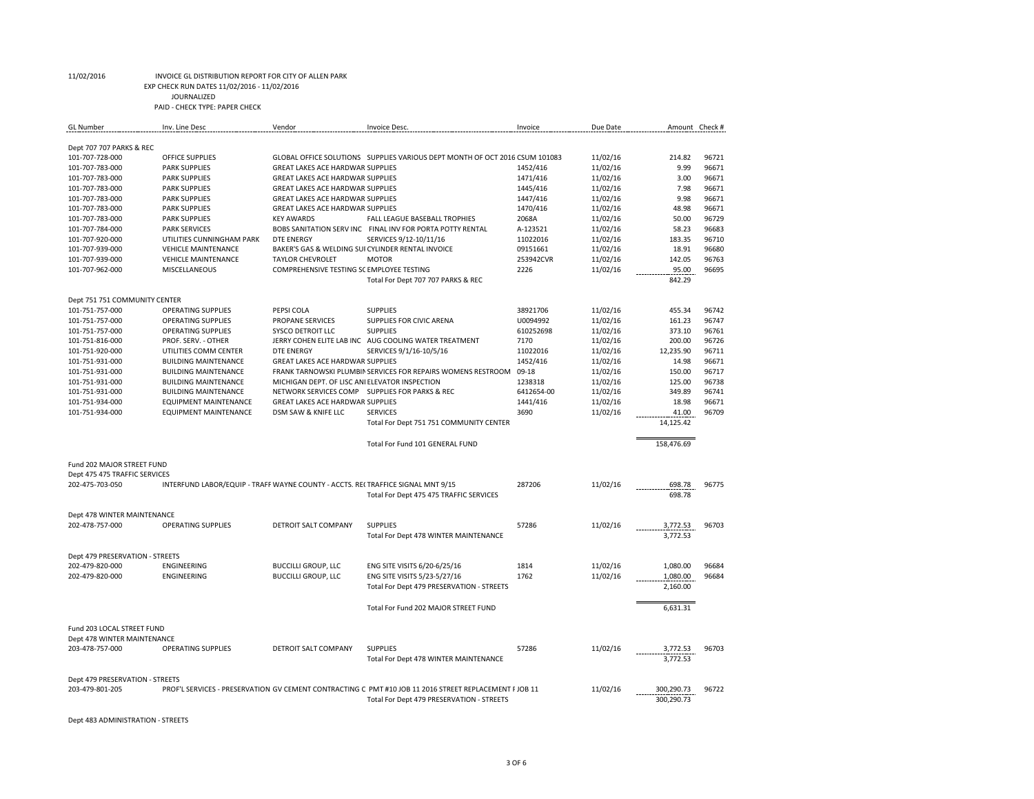EXP CHECK RUN DATES 11/02/2016 - 11/02/2016

JOURNALIZED

PAID - CHECK TYPE: PAPER CHECK

| <b>GL</b> Number                | Inv. Line Desc                                                                  | Vendor                                            | Invoice Desc.                                                                                          | Invoice    | Due Date | Amount Check # |       |
|---------------------------------|---------------------------------------------------------------------------------|---------------------------------------------------|--------------------------------------------------------------------------------------------------------|------------|----------|----------------|-------|
|                                 |                                                                                 |                                                   |                                                                                                        |            |          |                |       |
| Dept 707 707 PARKS & REC        |                                                                                 |                                                   |                                                                                                        |            |          |                |       |
| 101-707-728-000                 | <b>OFFICE SUPPLIES</b>                                                          |                                                   | GLOBAL OFFICE SOLUTIONS SUPPLIES VARIOUS DEPT MONTH OF OCT 2016 CSUM 101083                            |            | 11/02/16 | 214.82         | 96721 |
| 101-707-783-000                 | <b>PARK SUPPLIES</b>                                                            | <b>GREAT LAKES ACE HARDWAR SUPPLIES</b>           |                                                                                                        | 1452/416   | 11/02/16 | 9.99           | 96671 |
| 101-707-783-000                 | <b>PARK SUPPLIES</b>                                                            | <b>GREAT LAKES ACE HARDWAR SUPPLIES</b>           |                                                                                                        | 1471/416   | 11/02/16 | 3.00           | 96671 |
| 101-707-783-000                 | <b>PARK SUPPLIES</b>                                                            | <b>GREAT LAKES ACE HARDWAR SUPPLIES</b>           |                                                                                                        | 1445/416   | 11/02/16 | 7.98           | 96671 |
| 101-707-783-000                 | <b>PARK SUPPLIES</b>                                                            | <b>GREAT LAKES ACE HARDWAR SUPPLIES</b>           |                                                                                                        | 1447/416   | 11/02/16 | 9.98           | 96671 |
| 101-707-783-000                 | <b>PARK SUPPLIES</b>                                                            | GREAT LAKES ACE HARDWAR SUPPLIES                  |                                                                                                        | 1470/416   | 11/02/16 | 48.98          | 96671 |
| 101-707-783-000                 | <b>PARK SUPPLIES</b>                                                            | <b>KEY AWARDS</b>                                 | FALL LEAGUE BASEBALL TROPHIES                                                                          | 2068A      | 11/02/16 | 50.00          | 96729 |
| 101-707-784-000                 | <b>PARK SERVICES</b>                                                            |                                                   | BOBS SANITATION SERV INC FINAL INV FOR PORTA POTTY RENTAL                                              | A-123521   | 11/02/16 | 58.23          | 96683 |
| 101-707-920-000                 | UTILITIES CUNNINGHAM PARK                                                       | <b>DTE ENERGY</b>                                 | SERVICES 9/12-10/11/16                                                                                 | 11022016   | 11/02/16 | 183.35         | 96710 |
| 101-707-939-000                 | <b>VEHICLE MAINTENANCE</b>                                                      | BAKER'S GAS & WELDING SUI CYLINDER RENTAL INVOICE |                                                                                                        | 09151661   | 11/02/16 | 18.91          | 96680 |
| 101-707-939-000                 | <b>VEHICLE MAINTENANCE</b>                                                      | <b>TAYLOR CHEVROLET</b>                           | <b>MOTOR</b>                                                                                           | 253942CVR  | 11/02/16 | 142.05         | 96763 |
| 101-707-962-000                 | MISCELLANEOUS                                                                   | COMPREHENSIVE TESTING SC EMPLOYEE TESTING         |                                                                                                        | 2226       | 11/02/16 | 95.00          | 96695 |
|                                 |                                                                                 |                                                   | Total For Dept 707 707 PARKS & REC                                                                     |            |          | 842.29         |       |
|                                 |                                                                                 |                                                   |                                                                                                        |            |          |                |       |
| Dept 751 751 COMMUNITY CENTER   |                                                                                 |                                                   |                                                                                                        |            |          |                |       |
| 101-751-757-000                 | <b>OPERATING SUPPLIES</b>                                                       | PEPSI COLA                                        | <b>SUPPLIES</b>                                                                                        | 38921706   | 11/02/16 | 455.34         | 96742 |
| 101-751-757-000                 | <b>OPERATING SUPPLIES</b>                                                       | <b>PROPANE SERVICES</b>                           | SUPPLIES FOR CIVIC ARENA                                                                               | U0094992   | 11/02/16 | 161.23         | 96747 |
| 101-751-757-000                 | <b>OPERATING SUPPLIES</b>                                                       | <b>SYSCO DETROIT LLC</b>                          | <b>SUPPLIES</b>                                                                                        | 610252698  | 11/02/16 | 373.10         | 96761 |
| 101-751-816-000                 | PROF. SERV. - OTHER                                                             |                                                   | JERRY COHEN ELITE LAB INC AUG COOLING WATER TREATMENT                                                  | 7170       | 11/02/16 | 200.00         | 96726 |
| 101-751-920-000                 | UTILITIES COMM CENTER                                                           | <b>DTE ENERGY</b>                                 | SERVICES 9/1/16-10/5/16                                                                                | 11022016   | 11/02/16 | 12,235.90      | 96711 |
| 101-751-931-000                 | <b>BUILDING MAINTENANCE</b>                                                     | GREAT LAKES ACE HARDWAR SUPPLIES                  |                                                                                                        | 1452/416   | 11/02/16 | 14.98          | 96671 |
| 101-751-931-000                 | <b>BUILDING MAINTENANCE</b>                                                     |                                                   | FRANK TARNOWSKI PLUMBIN SERVICES FOR REPAIRS WOMENS RESTROOM                                           | 09-18      | 11/02/16 | 150.00         | 96717 |
| 101-751-931-000                 | <b>BUILDING MAINTENANCE</b>                                                     | MICHIGAN DEPT. OF LISC ANI ELEVATOR INSPECTION    |                                                                                                        | 1238318    | 11/02/16 | 125.00         | 96738 |
| 101-751-931-000                 | <b>BUILDING MAINTENANCE</b>                                                     |                                                   | NETWORK SERVICES COMP SUPPLIES FOR PARKS & REC                                                         | 6412654-00 | 11/02/16 | 349.89         | 96741 |
| 101-751-934-000                 | <b>EQUIPMENT MAINTENANCE</b>                                                    | <b>GREAT LAKES ACE HARDWAR SUPPLIES</b>           |                                                                                                        | 1441/416   | 11/02/16 | 18.98          | 96671 |
| 101-751-934-000                 | <b>EQUIPMENT MAINTENANCE</b>                                                    | DSM SAW & KNIFE LLC                               | <b>SERVICES</b>                                                                                        | 3690       | 11/02/16 | 41.00          | 96709 |
|                                 |                                                                                 |                                                   |                                                                                                        |            |          | 14,125.42      |       |
|                                 |                                                                                 |                                                   | Total For Dept 751 751 COMMUNITY CENTER                                                                |            |          |                |       |
|                                 |                                                                                 |                                                   |                                                                                                        |            |          | 158.476.69     |       |
|                                 |                                                                                 |                                                   | Total For Fund 101 GENERAL FUND                                                                        |            |          |                |       |
|                                 |                                                                                 |                                                   |                                                                                                        |            |          |                |       |
| Fund 202 MAJOR STREET FUND      |                                                                                 |                                                   |                                                                                                        |            |          |                |       |
| Dept 475 475 TRAFFIC SERVICES   |                                                                                 |                                                   |                                                                                                        |            | 11/02/16 |                |       |
| 202-475-703-050                 | INTERFUND LABOR/EQUIP - TRAFF WAYNE COUNTY - ACCTS. RECTRAFFICE SIGNAL MNT 9/15 |                                                   |                                                                                                        | 287206     |          | 698.78         | 96775 |
|                                 |                                                                                 |                                                   | Total For Dept 475 475 TRAFFIC SERVICES                                                                |            |          | 698.78         |       |
|                                 |                                                                                 |                                                   |                                                                                                        |            |          |                |       |
| Dept 478 WINTER MAINTENANCE     |                                                                                 |                                                   |                                                                                                        |            |          |                |       |
| 202-478-757-000                 | <b>OPERATING SUPPLIES</b>                                                       | <b>DETROIT SALT COMPANY</b>                       | <b>SUPPLIES</b>                                                                                        | 57286      | 11/02/16 | 3,772.53       | 96703 |
|                                 |                                                                                 |                                                   | Total For Dept 478 WINTER MAINTENANCE                                                                  |            |          | 3,772.53       |       |
|                                 |                                                                                 |                                                   |                                                                                                        |            |          |                |       |
| Dept 479 PRESERVATION - STREETS |                                                                                 |                                                   |                                                                                                        |            |          |                |       |
| 202-479-820-000                 | ENGINEERING                                                                     | <b>BUCCILLI GROUP, LLC</b>                        | ENG SITE VISITS 6/20-6/25/16                                                                           | 1814       | 11/02/16 | 1,080.00       | 96684 |
| 202-479-820-000                 | <b>ENGINEERING</b>                                                              | <b>BUCCILLI GROUP, LLC</b>                        | ENG SITE VISITS 5/23-5/27/16                                                                           | 1762       | 11/02/16 | 1,080.00       | 96684 |
|                                 |                                                                                 |                                                   | Total For Dept 479 PRESERVATION - STREETS                                                              |            |          | 2,160.00       |       |
|                                 |                                                                                 |                                                   |                                                                                                        |            |          |                |       |
|                                 |                                                                                 |                                                   | Total For Fund 202 MAJOR STREET FUND                                                                   |            |          | 6,631.31       |       |
|                                 |                                                                                 |                                                   |                                                                                                        |            |          |                |       |
| Fund 203 LOCAL STREET FUND      |                                                                                 |                                                   |                                                                                                        |            |          |                |       |
| Dept 478 WINTER MAINTENANCE     |                                                                                 |                                                   |                                                                                                        |            |          |                |       |
| 203-478-757-000                 | <b>OPERATING SUPPLIES</b>                                                       | DETROIT SALT COMPANY                              | <b>SUPPLIES</b>                                                                                        | 57286      | 11/02/16 | 3,772.53       | 96703 |
|                                 |                                                                                 |                                                   | Total For Dept 478 WINTER MAINTENANCE                                                                  |            |          | 3,772.53       |       |
|                                 |                                                                                 |                                                   |                                                                                                        |            |          |                |       |
| Dept 479 PRESERVATION - STREETS |                                                                                 |                                                   |                                                                                                        |            |          |                |       |
| 203-479-801-205                 |                                                                                 |                                                   | PROF'L SERVICES - PRESERVATION GV CEMENT CONTRACTING C PMT #10 JOB 11 2016 STREET REPLACEMENT F JOB 11 |            | 11/02/16 | 300,290.73     | 96722 |
|                                 |                                                                                 |                                                   | Total For Dept 479 PRESERVATION - STREETS                                                              |            |          | 300,290.73     |       |

Dept 483 ADMINISTRATION - STREETS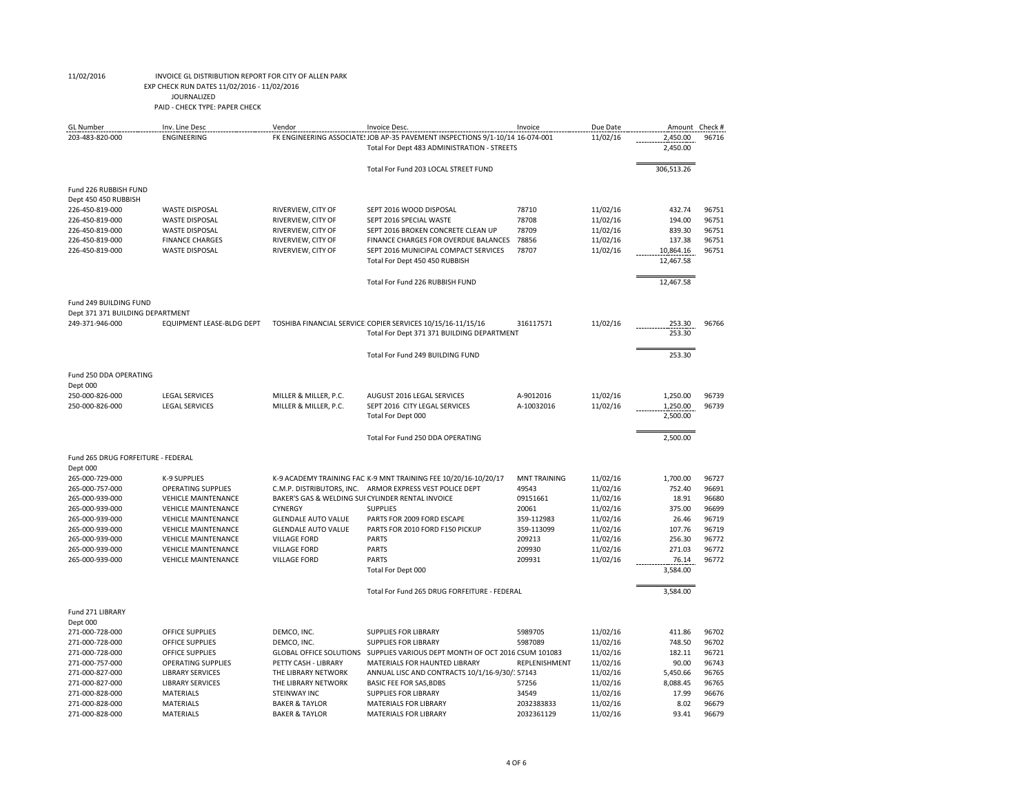## EXP CHECK RUN DATES 11/02/2016 - 11/02/2016

JOURNALIZED

| <b>GL</b> Number                        | Inv. Line Desc             | Vendor                         | Invoice Desc.                                                                 | Invoice             | Due Date | Amount Check # |       |
|-----------------------------------------|----------------------------|--------------------------------|-------------------------------------------------------------------------------|---------------------|----------|----------------|-------|
| 203-483-820-000                         | <b>ENGINEERING</b>         |                                | FK ENGINEERING ASSOCIATE: JOB AP-35 PAVEMENT INSPECTIONS 9/1-10/14 16-074-001 |                     | 11/02/16 | 2,450.00       | 96716 |
|                                         |                            |                                | Total For Dept 483 ADMINISTRATION - STREETS                                   |                     |          | 2,450.00       |       |
|                                         |                            |                                | Total For Fund 203 LOCAL STREET FUND                                          |                     |          | 306,513.26     |       |
| Fund 226 RUBBISH FUND                   |                            |                                |                                                                               |                     |          |                |       |
| Dept 450 450 RUBBISH<br>226-450-819-000 | <b>WASTE DISPOSAL</b>      | RIVERVIEW, CITY OF             | SEPT 2016 WOOD DISPOSAL                                                       | 78710               | 11/02/16 | 432.74         | 96751 |
| 226-450-819-000                         | <b>WASTE DISPOSAL</b>      | RIVERVIEW, CITY OF             | SEPT 2016 SPECIAL WASTE                                                       | 78708               | 11/02/16 | 194.00         | 96751 |
| 226-450-819-000                         | <b>WASTE DISPOSAL</b>      | RIVERVIEW, CITY OF             | SEPT 2016 BROKEN CONCRETE CLEAN UP                                            | 78709               | 11/02/16 | 839.30         | 96751 |
| 226-450-819-000                         | <b>FINANCE CHARGES</b>     | RIVERVIEW, CITY OF             | FINANCE CHARGES FOR OVERDUE BALANCES                                          | 78856               | 11/02/16 | 137.38         | 96751 |
| 226-450-819-000                         | <b>WASTE DISPOSAL</b>      | RIVERVIEW, CITY OF             | SEPT 2016 MUNICIPAL COMPACT SERVICES                                          | 78707               | 11/02/16 | 10,864.16      | 96751 |
|                                         |                            |                                | Total For Dept 450 450 RUBBISH                                                |                     |          | 12,467.58      |       |
|                                         |                            |                                | Total For Fund 226 RUBBISH FUND                                               |                     |          | 12,467.58      |       |
| Fund 249 BUILDING FUND                  |                            |                                |                                                                               |                     |          |                |       |
| Dept 371 371 BUILDING DEPARTMENT        |                            |                                |                                                                               |                     |          |                |       |
| 249-371-946-000                         | EQUIPMENT LEASE-BLDG DEPT  |                                | TOSHIBA FINANCIAL SERVICE COPIER SERVICES 10/15/16-11/15/16                   | 316117571           | 11/02/16 | 253.30         | 96766 |
|                                         |                            |                                | Total For Dept 371 371 BUILDING DEPARTMENT                                    |                     |          | 253.30         |       |
|                                         |                            |                                | Total For Fund 249 BUILDING FUND                                              |                     |          | 253.30         |       |
| Fund 250 DDA OPERATING                  |                            |                                |                                                                               |                     |          |                |       |
| Dept 000<br>250-000-826-000             | <b>LEGAL SERVICES</b>      | MILLER & MILLER, P.C.          | AUGUST 2016 LEGAL SERVICES                                                    | A-9012016           | 11/02/16 | 1,250.00       | 96739 |
| 250-000-826-000                         | <b>LEGAL SERVICES</b>      | MILLER & MILLER, P.C.          | SEPT 2016 CITY LEGAL SERVICES                                                 | A-10032016          | 11/02/16 | 1,250.00       | 96739 |
|                                         |                            |                                | Total For Dept 000                                                            |                     |          | 2,500.00       |       |
|                                         |                            |                                | Total For Fund 250 DDA OPERATING                                              |                     |          | 2,500.00       |       |
| Fund 265 DRUG FORFEITURE - FEDERAL      |                            |                                |                                                                               |                     |          |                |       |
| Dept 000                                |                            |                                |                                                                               |                     |          |                |       |
| 265-000-729-000                         | <b>K-9 SUPPLIES</b>        |                                | K-9 ACADEMY TRAINING FAC K-9 MNT TRAINING FEE 10/20/16-10/20/17               | <b>MNT TRAINING</b> | 11/02/16 | 1,700.00       | 96727 |
| 265-000-757-000                         | <b>OPERATING SUPPLIES</b>  |                                | C.M.P. DISTRIBUTORS, INC. ARMOR EXPRESS VEST POLICE DEPT                      | 49543               | 11/02/16 | 752.40         | 96691 |
| 265-000-939-000                         | <b>VEHICLE MAINTENANCE</b> |                                | BAKER'S GAS & WELDING SUI CYLINDER RENTAL INVOICE                             | 09151661            | 11/02/16 | 18.91          | 96680 |
| 265-000-939-000                         | <b>VEHICLE MAINTENANCE</b> | <b>CYNERGY</b>                 | <b>SUPPLIES</b>                                                               | 20061               | 11/02/16 | 375.00         | 96699 |
| 265-000-939-000                         | <b>VEHICLE MAINTENANCE</b> | <b>GLENDALE AUTO VALUE</b>     | PARTS FOR 2009 FORD ESCAPE                                                    | 359-112983          | 11/02/16 | 26.46          | 96719 |
| 265-000-939-000                         | <b>VEHICLE MAINTENANCE</b> | <b>GLENDALE AUTO VALUE</b>     | PARTS FOR 2010 FORD F150 PICKUP                                               | 359-113099          | 11/02/16 | 107.76         | 96719 |
| 265-000-939-000                         | <b>VEHICLE MAINTENANCE</b> | <b>VILLAGE FORD</b>            | <b>PARTS</b>                                                                  | 209213              | 11/02/16 | 256.30         | 96772 |
| 265-000-939-000                         | <b>VEHICLE MAINTENANCE</b> | <b>VILLAGE FORD</b>            | <b>PARTS</b>                                                                  | 209930              | 11/02/16 | 271.03         | 96772 |
| 265-000-939-000                         | <b>VEHICLE MAINTENANCE</b> | <b>VILLAGE FORD</b>            | <b>PARTS</b>                                                                  | 209931              | 11/02/16 | 76.14          | 96772 |
|                                         |                            |                                | Total For Dept 000                                                            |                     |          | 3,584.00       |       |
|                                         |                            |                                | Total For Fund 265 DRUG FORFEITURE - FEDERAL                                  |                     |          | 3,584.00       |       |
| Fund 271 LIBRARY                        |                            |                                |                                                                               |                     |          |                |       |
| Dept 000                                |                            |                                |                                                                               |                     |          |                |       |
| 271-000-728-000                         | <b>OFFICE SUPPLIES</b>     | DEMCO, INC.                    | <b>SUPPLIES FOR LIBRARY</b>                                                   | 5989705             | 11/02/16 | 411.86         | 96702 |
| 271-000-728-000                         | <b>OFFICE SUPPLIES</b>     | DEMCO, INC.                    | <b>SUPPLIES FOR LIBRARY</b>                                                   | 5987089             | 11/02/16 | 748.50         | 96702 |
| 271-000-728-000                         | <b>OFFICE SUPPLIES</b>     | <b>GLOBAL OFFICE SOLUTIONS</b> | SUPPLIES VARIOUS DEPT MONTH OF OCT 2016 CSUM 101083                           |                     | 11/02/16 | 182.11         | 96721 |
| 271-000-757-000                         | <b>OPERATING SUPPLIES</b>  | PETTY CASH - LIBRARY           | MATERIALS FOR HAUNTED LIBRARY                                                 | REPLENISHMENT       | 11/02/16 | 90.00          | 96743 |
| 271-000-827-000                         | <b>LIBRARY SERVICES</b>    | THE LIBRARY NETWORK            | ANNUAL LISC AND CONTRACTS 10/1/16-9/30/157143                                 |                     | 11/02/16 | 5,450.66       | 96765 |
| 271-000-827-000                         | <b>LIBRARY SERVICES</b>    | THE LIBRARY NETWORK            | <b>BASIC FEE FOR SAS, BDBS</b>                                                | 57256               | 11/02/16 | 8,088.45       | 96765 |
| 271-000-828-000                         | <b>MATERIALS</b>           | STEINWAY INC                   | <b>SUPPLIES FOR LIBRARY</b>                                                   | 34549               | 11/02/16 | 17.99          | 96676 |
| 271-000-828-000                         | <b>MATERIALS</b>           | <b>BAKER &amp; TAYLOR</b>      | <b>MATERIALS FOR LIBRARY</b>                                                  | 2032383833          | 11/02/16 | 8.02           | 96679 |
| 271-000-828-000                         | <b>MATERIALS</b>           | <b>BAKER &amp; TAYLOR</b>      | MATERIALS FOR LIBRARY                                                         | 2032361129          | 11/02/16 | 93.41          | 96679 |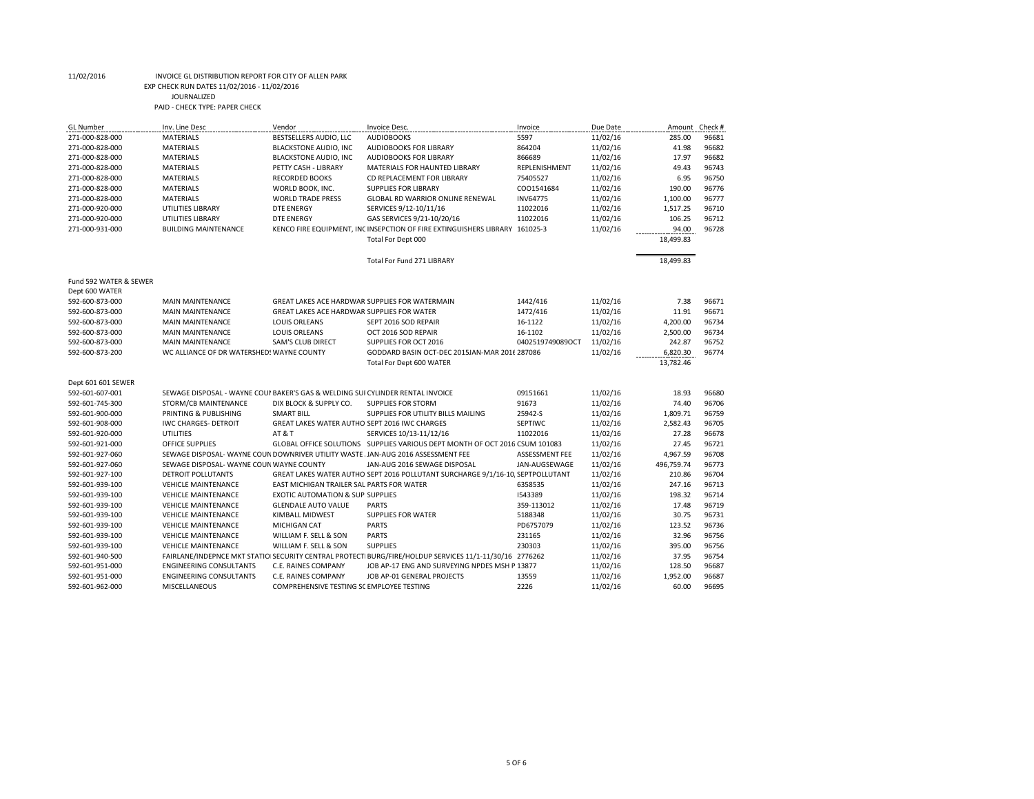## EXP CHECK RUN DATES 11/02/2016 - 11/02/2016

JOURNALIZED

| <b>GL</b> Number                   | Inv. Line Desc                                                                  | Vendor                                         | Invoice Desc.                                                                                           | Invoice          | Due Date | Amount     | Check #        |
|------------------------------------|---------------------------------------------------------------------------------|------------------------------------------------|---------------------------------------------------------------------------------------------------------|------------------|----------|------------|----------------|
| 271-000-828-000                    | <b>MATERIALS</b>                                                                | BESTSELLERS AUDIO, LLC                         | <b>AUDIOBOOKS</b>                                                                                       | 5597             | 11/02/16 | 285.00     | 96681          |
| 271-000-828-000                    | <b>MATERIALS</b>                                                                | BLACKSTONE AUDIO, INC                          | <b>AUDIOBOOKS FOR LIBRARY</b>                                                                           | 864204           | 11/02/16 | 41.98      | 96682          |
| 271-000-828-000                    | <b>MATERIALS</b>                                                                | BLACKSTONE AUDIO, INC                          | <b>AUDIOBOOKS FOR LIBRARY</b>                                                                           | 866689           | 11/02/16 | 17.97      | 96682          |
| 271-000-828-000                    | <b>MATERIALS</b>                                                                | PETTY CASH - LIBRARY                           | MATERIALS FOR HAUNTED LIBRARY                                                                           | REPLENISHMENT    | 11/02/16 | 49.43      | 96743          |
| 271-000-828-000                    | <b>MATERIALS</b>                                                                | <b>RECORDED BOOKS</b>                          | CD REPLACEMENT FOR LIBRARY                                                                              | 75405527         | 11/02/16 | 6.95       | 96750          |
| 271-000-828-000                    | <b>MATERIALS</b>                                                                | WORLD BOOK, INC.                               | <b>SUPPLIES FOR LIBRARY</b>                                                                             | CO01541684       | 11/02/16 | 190.00     | 96776          |
| 271-000-828-000                    | <b>MATERIALS</b>                                                                | <b>WORLD TRADE PRESS</b>                       | <b>GLOBAL RD WARRIOR ONLINE RENEWAL</b>                                                                 | <b>INV64775</b>  | 11/02/16 | 1,100.00   | 96777          |
| 271-000-920-000                    | UTILITIES LIBRARY                                                               | <b>DTE ENERGY</b>                              | SERVICES 9/12-10/11/16                                                                                  | 11022016         | 11/02/16 | 1,517.25   | 96710          |
| 271-000-920-000                    | UTILITIES LIBRARY                                                               | <b>DTE ENERGY</b>                              | GAS SERVICES 9/21-10/20/16                                                                              | 11022016         | 11/02/16 | 106.25     | 96712          |
| 271-000-931-000                    | <b>BUILDING MAINTENANCE</b>                                                     |                                                | KENCO FIRE EQUIPMENT, INC INSEPCTION OF FIRE EXTINGUISHERS LIBRARY 161025-3                             |                  | 11/02/16 | 94.00      | 96728          |
|                                    |                                                                                 |                                                | Total For Dept 000                                                                                      |                  |          | 18,499.83  |                |
|                                    |                                                                                 |                                                |                                                                                                         |                  |          |            |                |
|                                    |                                                                                 |                                                | Total For Fund 271 LIBRARY                                                                              |                  |          | 18,499.83  |                |
| Fund 592 WATER & SEWER             |                                                                                 |                                                |                                                                                                         |                  |          |            |                |
| Dept 600 WATER                     |                                                                                 |                                                |                                                                                                         |                  |          |            |                |
| 592-600-873-000                    | <b>MAIN MAINTENANCE</b>                                                         | GREAT LAKES ACE HARDWAR SUPPLIES FOR WATERMAIN |                                                                                                         | 1442/416         | 11/02/16 | 7.38       | 96671          |
| 592-600-873-000                    | <b>MAIN MAINTENANCE</b>                                                         | GREAT LAKES ACE HARDWAR SUPPLIES FOR WATER     |                                                                                                         | 1472/416         | 11/02/16 | 11.91      | 96671          |
| 592-600-873-000                    | <b>MAIN MAINTENANCE</b>                                                         | <b>LOUIS ORLEANS</b>                           | SEPT 2016 SOD REPAIR                                                                                    | 16-1122          | 11/02/16 | 4,200.00   | 96734          |
| 592-600-873-000                    | <b>MAIN MAINTENANCE</b>                                                         | <b>LOUIS ORLEANS</b>                           | OCT 2016 SOD REPAIR                                                                                     | 16-1102          | 11/02/16 | 2,500.00   | 96734          |
| 592-600-873-000                    | <b>MAIN MAINTENANCE</b>                                                         | <b>SAM'S CLUB DIRECT</b>                       | SUPPLIES FOR OCT 2016                                                                                   | 0402519749089OCT | 11/02/16 | 242.87     | 96752          |
| 592-600-873-200                    | WC ALLIANCE OF DR WATERSHED! WAYNE COUNTY                                       |                                                | GODDARD BASIN OCT-DEC 2015JAN-MAR 2016 287086                                                           |                  | 11/02/16 | 6,820.30   | 96774          |
|                                    |                                                                                 |                                                | Total For Dept 600 WATER                                                                                |                  |          | 13,782.46  |                |
| Dept 601 601 SEWER                 |                                                                                 |                                                |                                                                                                         |                  |          |            |                |
| 592-601-607-001                    | SEWAGE DISPOSAL - WAYNE COUI BAKER'S GAS & WELDING SUI CYLINDER RENTAL INVOICE  |                                                |                                                                                                         | 09151661         | 11/02/16 | 18.93      | 96680          |
| 592-601-745-300                    | STORM/CB MAINTENANCE                                                            | DIX BLOCK & SUPPLY CO.                         | <b>SUPPLIES FOR STORM</b>                                                                               | 91673            | 11/02/16 | 74.40      | 96706          |
| 592-601-900-000                    | PRINTING & PUBLISHING                                                           | <b>SMART BILL</b>                              | SUPPLIES FOR UTILITY BILLS MAILING                                                                      | 25942-S          | 11/02/16 | 1,809.71   | 96759          |
| 592-601-908-000                    | <b>IWC CHARGES- DETROIT</b>                                                     | GREAT LAKES WATER AUTHO SEPT 2016 IWC CHARGES  |                                                                                                         | SEPTIWC          | 11/02/16 | 2,582.43   | 96705          |
| 592-601-920-000                    | <b>UTILITIES</b>                                                                | AT & T                                         | SERVICES 10/13-11/12/16                                                                                 | 11022016         | 11/02/16 | 27.28      | 96678          |
| 592-601-921-000                    | OFFICE SUPPLIES                                                                 |                                                | GLOBAL OFFICE SOLUTIONS SUPPLIES VARIOUS DEPT MONTH OF OCT 2016 CSUM 101083                             |                  | 11/02/16 | 27.45      | 96721          |
| 592-601-927-060                    | SEWAGE DISPOSAL- WAYNE COUN DOWNRIVER UTILITY WASTE JAN-AUG 2016 ASSESSMENT FEE |                                                |                                                                                                         | ASSESSMENT FEE   | 11/02/16 | 4,967.59   | 96708          |
| 592-601-927-060                    | SEWAGE DISPOSAL- WAYNE COUN WAYNE COUNTY                                        |                                                | JAN-AUG 2016 SEWAGE DISPOSAL                                                                            | JAN-AUGSEWAGE    | 11/02/16 | 496,759.74 | 96773          |
| 592-601-927-100                    | <b>DETROIT POLLUTANTS</b>                                                       |                                                | GREAT LAKES WATER AUTHO SEPT 2016 POLLUTANT SURCHARGE 9/1/16-10, SEPTPOLLUTANT                          |                  | 11/02/16 | 210.86     | 96704          |
| 592-601-939-100                    | <b>VEHICLE MAINTENANCE</b>                                                      | EAST MICHIGAN TRAILER SAL PARTS FOR WATER      |                                                                                                         | 6358535          | 11/02/16 | 247.16     | 96713          |
| 592-601-939-100                    | <b>VEHICLE MAINTENANCE</b>                                                      | <b>EXOTIC AUTOMATION &amp; SUP SUPPLIES</b>    |                                                                                                         | 1543389          | 11/02/16 | 198.32     | 96714          |
| 592-601-939-100                    | <b>VEHICLE MAINTENANCE</b>                                                      | <b>GLENDALE AUTO VALUE</b>                     | <b>PARTS</b>                                                                                            | 359-113012       | 11/02/16 | 17.48      | 96719          |
| 592-601-939-100                    | <b>VEHICLE MAINTENANCE</b>                                                      | KIMBALL MIDWEST                                | <b>SUPPLIES FOR WATER</b>                                                                               | 5188348          | 11/02/16 | 30.75      | 96731          |
|                                    |                                                                                 |                                                |                                                                                                         | PD6757079        | 11/02/16 | 123.52     |                |
| 592-601-939-100<br>592-601-939-100 | <b>VEHICLE MAINTENANCE</b><br><b>VEHICLE MAINTENANCE</b>                        | MICHIGAN CAT<br>WILLIAM F. SELL & SON          | <b>PARTS</b><br><b>PARTS</b>                                                                            | 231165           | 11/02/16 | 32.96      | 96736<br>96756 |
| 592-601-939-100                    | <b>VEHICLE MAINTENANCE</b>                                                      | WILLIAM F. SELL & SON                          | <b>SUPPLIES</b>                                                                                         | 230303           | 11/02/16 | 395.00     | 96756          |
|                                    |                                                                                 |                                                | FAIRLANE/INDEPNCE MKT STATIOI SECURITY CENTRAL PROTECTI BURG/FIRE/HOLDUP SERVICES 11/1-11/30/16 2776262 |                  | 11/02/16 | 37.95      | 96754          |
| 592-601-940-500                    | <b>ENGINEERING CONSULTANTS</b>                                                  | C.E. RAINES COMPANY                            | JOB AP-17 ENG AND SURVEYING NPDES MSH P 13877                                                           |                  | 11/02/16 | 128.50     | 96687          |
| 592-601-951-000<br>592-601-951-000 | <b>ENGINEERING CONSULTANTS</b>                                                  | C.E. RAINES COMPANY                            | JOB AP-01 GENERAL PROJECTS                                                                              | 13559            | 11/02/16 | 1,952.00   | 96687          |
| 592-601-962-000                    | MISCELLANEOUS                                                                   | COMPREHENSIVE TESTING SC EMPLOYEE TESTING      |                                                                                                         | 2226             | 11/02/16 | 60.00      | 96695          |
|                                    |                                                                                 |                                                |                                                                                                         |                  |          |            |                |